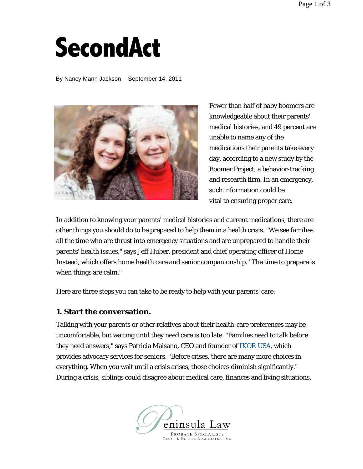## **SecondAct**

By Nancy Mann Jackson September 14, 2011



Fewer than half of baby boomers are knowledgeable about their parents' medical histories, and 49 percent are unable to name any of the medications their parents take every day, according to a new study by the Boomer Project, a behavior-tracking and research firm. In an emergency, such information could be vital to ensuring proper care.

In addition to knowing your parents' medical histories and current medications, there are other things you should do to be prepared to help them in a health crisis. "We see families all the time who are thrust into emergency situations and are unprepared to handle their parents' health issues," says Jeff Huber, president and chief operating officer of Home Instead, which offers home health care and senior companionship. "The time to prepare is when things are calm."

Here are three steps you can take to be ready to help with your parents' care:

## **1. Start the conversation.**

Talking with your parents or other relatives about their health-care preferences may be uncomfortable, but waiting until they need care is too late. "Families need to talk before they need answers," says Patricia Maisano, CEO and founder of IKOR USA, which provides advocacy services for seniors. "Before crises, there are many more choices in everything. When you wait until a crisis arises, those choices diminish significantly." During a crisis, siblings could disagree about medical care, finances and living situations,

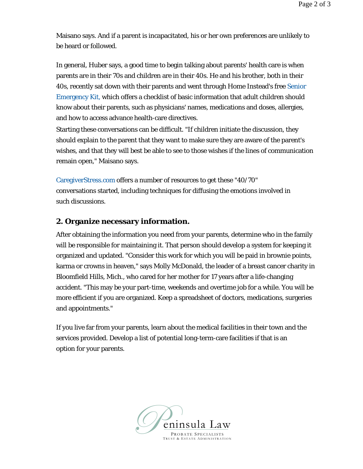Maisano says. And if a parent is incapacitated, his or her own preferences are unlikely to be heard or followed.

In general, Huber says, a good time to begin talking about parents' health care is when parents are in their 70s and children are in their 40s. He and his brother, both in their 40s, recently sat down with their parents and went through Home Instead's free Senior Emergency Kit, which offers a checklist of basic information that adult children should know about their parents, such as physicians' names, medications and doses, allergies, and how to access advance health-care directives.

Starting these conversations can be difficult. "If children initiate the discussion, they should explain to the parent that they want to make sure they are aware of the parent's wishes, and that they will best be able to see to those wishes if the lines of communication remain open," Maisano says.

CaregiverStress.com offers a number of resources to get these "40/70" conversations started, including techniques for diffusing the emotions involved in such discussions.

## **2. Organize necessary information.**

After obtaining the information you need from your parents, determine who in the family will be responsible for maintaining it. That person should develop a system for keeping it organized and updated. "Consider this work for which you will be paid in brownie points, karma or crowns in heaven," says Molly McDonald, the leader of a breast cancer charity in Bloomfield Hills, Mich., who cared for her mother for 17 years after a life-changing accident. "This may be your part-time, weekends and overtime job for a while. You will be more efficient if you are organized. Keep a spreadsheet of doctors, medications, surgeries and appointments."

If you live far from your parents, learn about the medical facilities in their town and the services provided. Develop a list of potential long-term-care facilities if that is an option for your parents.